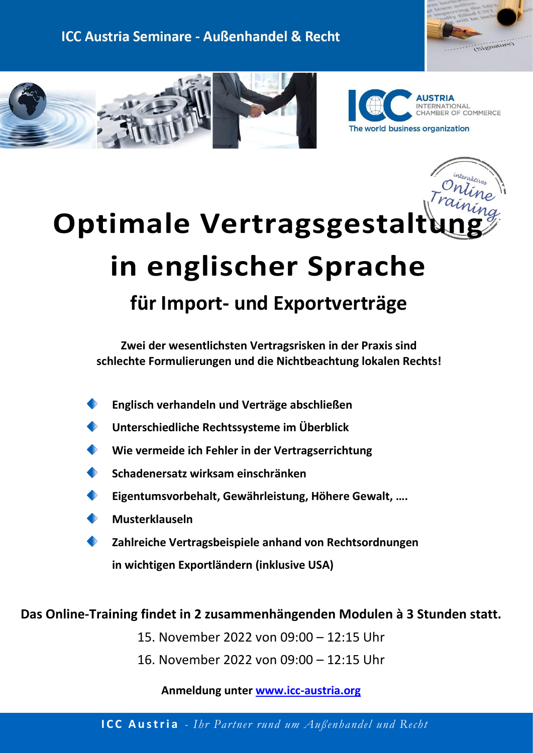





# **Optimale Vertragsgestalt in englischer Sprache für Import- und Exportverträge**

**Zwei der wesentlichsten Vertragsrisken in der Praxis sind schlechte Formulierungen und die Nichtbeachtung lokalen Rechts!**

- **Englisch verhandeln und Verträge abschließen**
- **Unterschiedliche Rechtssysteme im Überblick**
- **Wie vermeide ich Fehler in der Vertragserrichtung**
- **Schadenersatz wirksam einschränken**
- **Eigentumsvorbehalt, Gewährleistung, Höhere Gewalt, ….**
- **Musterklauseln**
- **Zahlreiche Vertragsbeispiele anhand von Rechtsordnungen in wichtigen Exportländern (inklusive USA)**

# **Das Online-Training findet in 2 zusammenhängenden Modulen à 3 Stunden statt.**

- 15. November 2022 von 09:00 12:15 Uhr
- 16. November 2022 von 09:00 12:15 Uhr

**Anmeldung unter [www.icc-austria.org](https://www.icc-austria.org/de/Seminare/aktuelle-Themenbereiche/2822/login.htm)**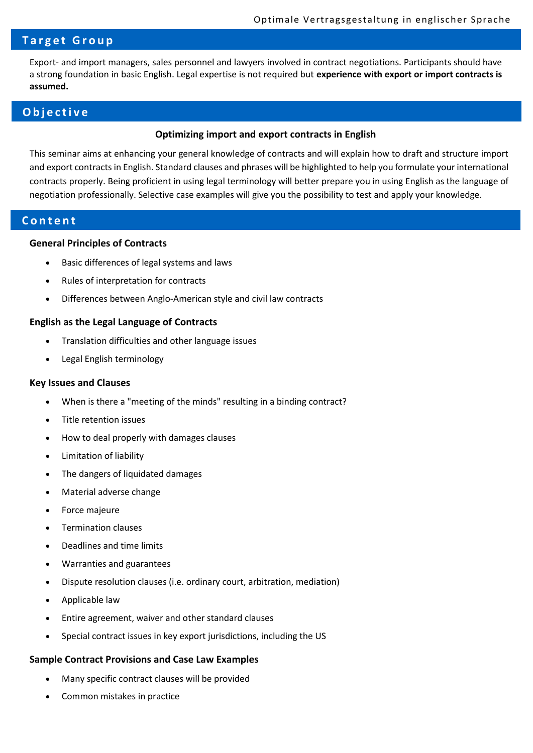## **T a r g e t G r o u p**

Export- and import managers, sales personnel and lawyers involved in contract negotiations. Participants should have a strong foundation in basic English. Legal expertise is not required but **experience with export or import contracts is assumed.**

## **O b j e c t i v e**

#### **Optimizing import and export contracts in English**

This seminar aims at enhancing your general knowledge of contracts and will explain how to draft and structure import and export contracts in English. Standard clauses and phrases will be highlighted to help you formulate your international contracts properly. Being proficient in using legal terminology will better prepare you in using English as the language of negotiation professionally. Selective case examples will give you the possibility to test and apply your knowledge.

## **C o n t e n t**

#### **General Principles of Contracts**

- Basic differences of legal systems and laws
- Rules of interpretation for contracts
- Differences between Anglo-American style and civil law contracts

#### **English as the Legal Language of Contracts**

- Translation difficulties and other language issues
- Legal English terminology

#### **Key Issues and Clauses**

- When is there a "meeting of the minds" resulting in a binding contract?
- Title retention issues
- How to deal properly with damages clauses
- Limitation of liability
- The dangers of liquidated damages
- Material adverse change
- Force majeure
- Termination clauses
- Deadlines and time limits
- Warranties and guarantees
- Dispute resolution clauses (i.e. ordinary court, arbitration, mediation)
- Applicable law
- Entire agreement, waiver and other standard clauses
- Special contract issues in key export jurisdictions, including the US

#### **Sample Contract Provisions and Case Law Examples**

- Many specific contract clauses will be provided
- Common mistakes in practice